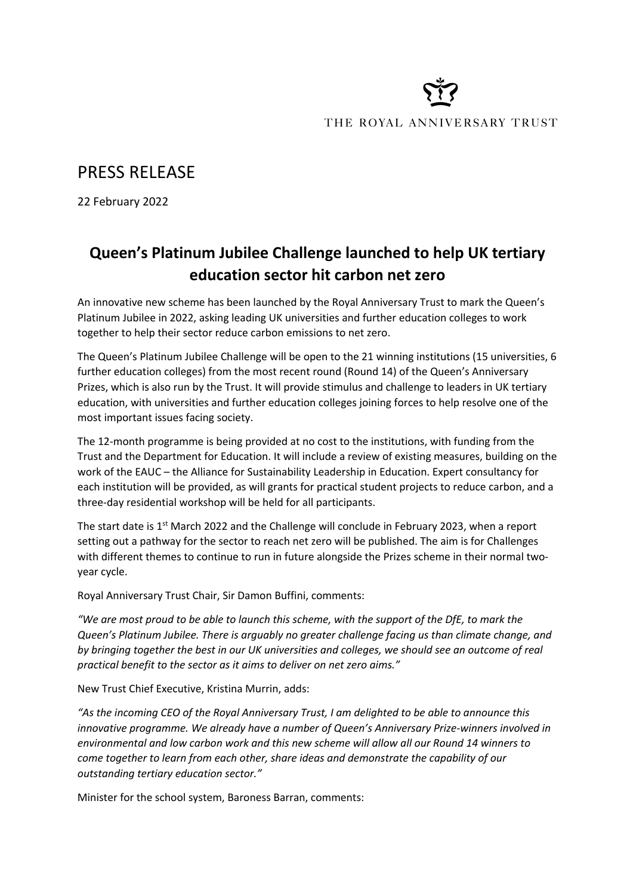# THE ROYAL ANNIVERSARY TRUST

## PRESS RELEASE

22 February 2022

## **Queen's Platinum Jubilee Challenge launched to help UK tertiary education sector hit carbon net zero**

An innovative new scheme has been launched by the Royal Anniversary Trust to mark the Queen's Platinum Jubilee in 2022, asking leading UK universities and further education colleges to work together to help their sector reduce carbon emissions to net zero.

The Queen's Platinum Jubilee Challenge will be open to the 21 winning institutions (15 universities, 6 further education colleges) from the most recent round (Round 14) of the Queen's Anniversary Prizes, which is also run by the Trust. It will provide stimulus and challenge to leaders in UK tertiary education, with universities and further education colleges joining forces to help resolve one of the most important issues facing society.

The 12-month programme is being provided at no cost to the institutions, with funding from the Trust and the Department for Education. It will include a review of existing measures, building on the work of the EAUC – the Alliance for Sustainability Leadership in Education. Expert consultancy for each institution will be provided, as will grants for practical student projects to reduce carbon, and a three-day residential workshop will be held for all participants.

The start date is 1<sup>st</sup> March 2022 and the Challenge will conclude in February 2023, when a report setting out a pathway for the sector to reach net zero will be published. The aim is for Challenges with different themes to continue to run in future alongside the Prizes scheme in their normal twoyear cycle.

Royal Anniversary Trust Chair, Sir Damon Buffini, comments:

*"We are most proud to be able to launch this scheme, with the support of the DfE, to mark the Queen's Platinum Jubilee. There is arguably no greater challenge facing us than climate change, and by bringing together the best in our UK universities and colleges, we should see an outcome of real practical benefit to the sector as it aims to deliver on net zero aims."* 

New Trust Chief Executive, Kristina Murrin, adds:

*"As the incoming CEO of the Royal Anniversary Trust, I am delighted to be able to announce this innovative programme. We already have a number of Queen's Anniversary Prize-winners involved in environmental and low carbon work and this new scheme will allow all our Round 14 winners to come together to learn from each other, share ideas and demonstrate the capability of our outstanding tertiary education sector."*

Minister for the school system, Baroness Barran, comments: